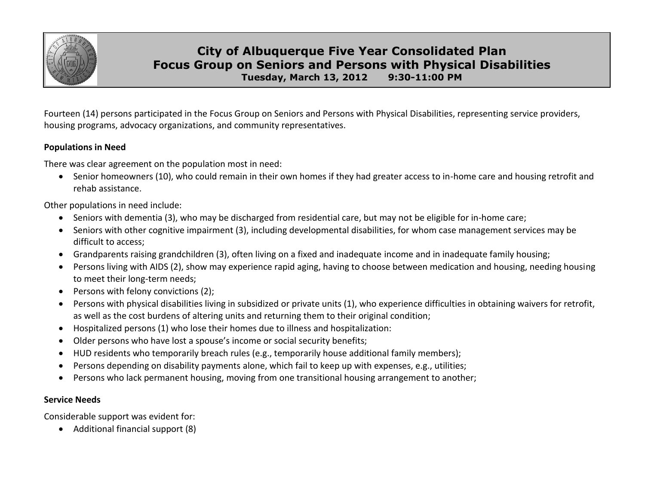

# **City of Albuquerque Five Year Consolidated Plan Focus Group on Seniors and Persons with Physical Disabilities Tuesday, March 13, 2012 9:30-11:00 PM**

Fourteen (14) persons participated in the Focus Group on Seniors and Persons with Physical Disabilities, representing service providers, housing programs, advocacy organizations, and community representatives.

## **Populations in Need**

There was clear agreement on the population most in need:

 Senior homeowners (10), who could remain in their own homes if they had greater access to in-home care and housing retrofit and rehab assistance.

Other populations in need include:

- Seniors with dementia (3), who may be discharged from residential care, but may not be eligible for in-home care;
- Seniors with other cognitive impairment (3), including developmental disabilities, for whom case management services may be difficult to access;
- Grandparents raising grandchildren (3), often living on a fixed and inadequate income and in inadequate family housing;
- Persons living with AIDS (2), show may experience rapid aging, having to choose between medication and housing, needing housing to meet their long-term needs;
- $\bullet$  Persons with felony convictions (2);
- Persons with physical disabilities living in subsidized or private units (1), who experience difficulties in obtaining waivers for retrofit, as well as the cost burdens of altering units and returning them to their original condition;
- Hospitalized persons (1) who lose their homes due to illness and hospitalization:
- Older persons who have lost a spouse's income or social security benefits;
- HUD residents who temporarily breach rules (e.g., temporarily house additional family members);
- Persons depending on disability payments alone, which fail to keep up with expenses, e.g., utilities;
- Persons who lack permanent housing, moving from one transitional housing arrangement to another;

### **Service Needs**

Considerable support was evident for:

Additional financial support (8)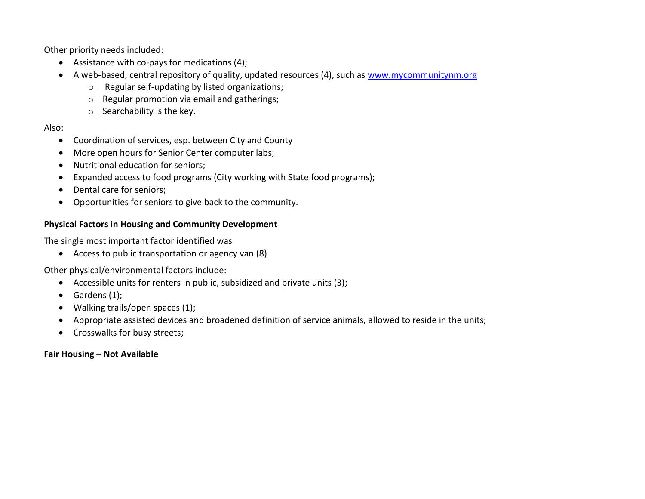Other priority needs included:

- Assistance with co-pays for medications (4);
- A web-based, central repository of quality, updated resources (4), such as [www.mycommunitynm.org](http://www.mycommunitynm.org/)
	- o Regular self-updating by listed organizations;
	- o Regular promotion via email and gatherings;
	- o Searchability is the key.

## Also:

- Coordination of services, esp. between City and County
- More open hours for Senior Center computer labs;
- Nutritional education for seniors;
- Expanded access to food programs (City working with State food programs);
- Dental care for seniors:
- Opportunities for seniors to give back to the community.

## **Physical Factors in Housing and Community Development**

The single most important factor identified was

Access to public transportation or agency van (8)

Other physical/environmental factors include:

- Accessible units for renters in public, subsidized and private units (3);
- $\bullet$  Gardens (1);
- Walking trails/open spaces (1);
- Appropriate assisted devices and broadened definition of service animals, allowed to reside in the units;
- Crosswalks for busy streets;

### **Fair Housing – Not Available**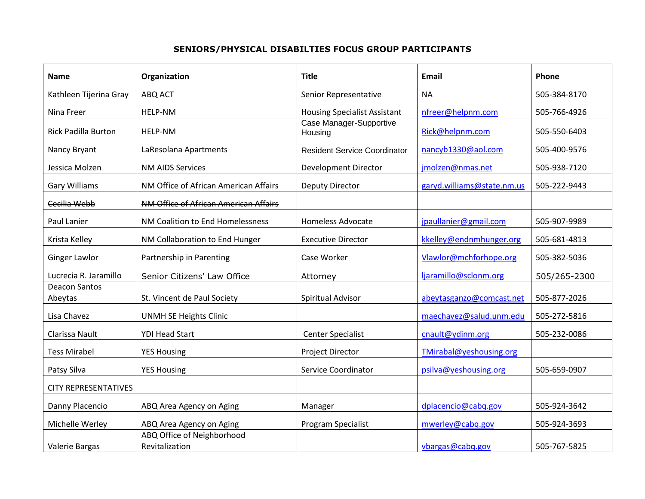### **SENIORS/PHYSICAL DISABILTIES FOCUS GROUP PARTICIPANTS**

| Name                            | Organization                                 | <b>Title</b>                        | <b>Email</b>               | Phone        |
|---------------------------------|----------------------------------------------|-------------------------------------|----------------------------|--------------|
| Kathleen Tijerina Gray          | ABQ ACT                                      | Senior Representative               | <b>NA</b>                  | 505-384-8170 |
| Nina Freer                      | HELP-NM                                      | <b>Housing Specialist Assistant</b> | nfreer@helpnm.com          | 505-766-4926 |
| <b>Rick Padilla Burton</b>      | <b>HELP-NM</b>                               | Case Manager-Supportive<br>Housing  | Rick@helpnm.com            | 505-550-6403 |
| Nancy Bryant                    | LaResolana Apartments                        | <b>Resident Service Coordinator</b> | nancyb1330@aol.com         | 505-400-9576 |
| Jessica Molzen                  | <b>NM AIDS Services</b>                      | Development Director                | jmolzen@nmas.net           | 505-938-7120 |
| <b>Gary Williams</b>            | NM Office of African American Affairs        | <b>Deputy Director</b>              | garyd.williams@state.nm.us | 505-222-9443 |
| Cecilia Webb                    | NM Office of African American Affairs        |                                     |                            |              |
| Paul Lanier                     | NM Coalition to End Homelessness             | <b>Homeless Advocate</b>            | jpaullanier@gmail.com      | 505-907-9989 |
| Krista Kelley                   | NM Collaboration to End Hunger               | <b>Executive Director</b>           | kkelley@endnmhunger.org    | 505-681-4813 |
| Ginger Lawlor                   | Partnership in Parenting                     | Case Worker                         | Vlawlor@mchforhope.org     | 505-382-5036 |
| Lucrecia R. Jaramillo           | Senior Citizens' Law Office                  | Attorney                            | ljaramillo@sclonm.org      | 505/265-2300 |
| <b>Deacon Santos</b><br>Abeytas | St. Vincent de Paul Society                  | <b>Spiritual Advisor</b>            | abeytasganzo@comcast.net   | 505-877-2026 |
| Lisa Chavez                     | <b>UNMH SE Heights Clinic</b>                |                                     | maechavez@salud.unm.edu    | 505-272-5816 |
| Clarissa Nault                  | <b>YDI Head Start</b>                        | <b>Center Specialist</b>            | cnault@ydinm.org           | 505-232-0086 |
| <b>Tess Mirabel</b>             | <b>YES Housing</b>                           | <b>Project Director</b>             | TMirabal@yeshousing.org    |              |
| Patsy Silva                     | <b>YES Housing</b>                           | Service Coordinator                 | psilva@yeshousing.org      | 505-659-0907 |
| <b>CITY REPRESENTATIVES</b>     |                                              |                                     |                            |              |
| Danny Placencio                 | ABQ Area Agency on Aging                     | Manager                             | dplacencio@cabq.gov        | 505-924-3642 |
| Michelle Werley                 | ABQ Area Agency on Aging                     | Program Specialist                  | mwerley@cabq.gov           | 505-924-3693 |
| Valerie Bargas                  | ABQ Office of Neighborhood<br>Revitalization |                                     | vbargas@cabq.gov           | 505-767-5825 |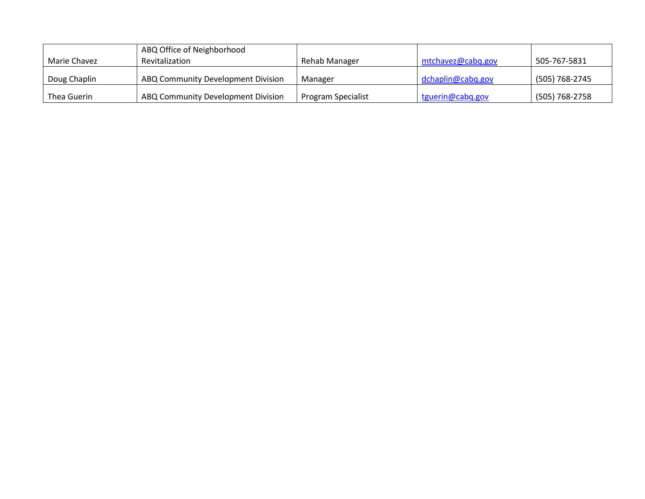|              | ABQ Office of Neighborhood         |                    |                   |                |
|--------------|------------------------------------|--------------------|-------------------|----------------|
| Marie Chavez | Revitalization                     | Rehab Manager      | mtchavez@cabg.gov | 505-767-5831   |
| Doug Chaplin | ABQ Community Development Division | Manager            | dchaplin@cabq.gov | (505) 768-2745 |
| Thea Guerin  | ABQ Community Development Division | Program Specialist | tguerin@cabq.gov  | (505) 768-2758 |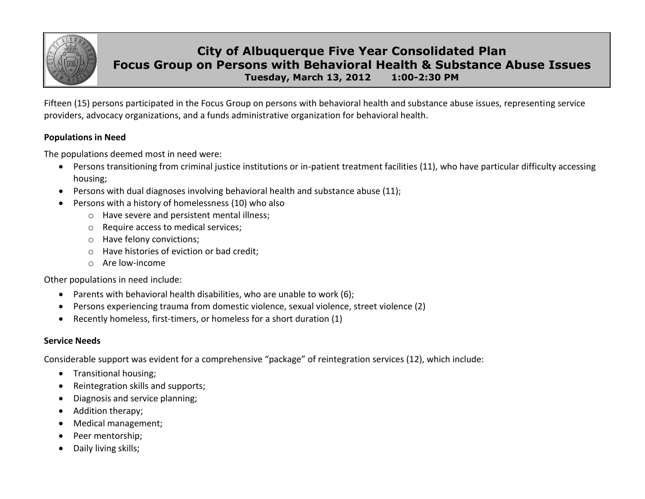

# **City of Albuquerque Five Year Consolidated Plan Focus Group on Persons with Behavioral Health & Substance Abuse Issues Tuesday, March 13, 2012 1:00-2:30 PM**

Fifteen (15) persons participated in the Focus Group on persons with behavioral health and substance abuse issues, representing service providers, advocacy organizations, and a funds administrative organization for behavioral health.

### **Populations in Need**

The populations deemed most in need were:

- Persons transitioning from criminal justice institutions or in-patient treatment facilities (11), who have particular difficulty accessing housing;
- Persons with dual diagnoses involving behavioral health and substance abuse (11);
- Persons with a history of homelessness (10) who also
	- o Have severe and persistent mental illness;
	- o Require access to medical services;
	- o Have felony convictions;
	- o Have histories of eviction or bad credit;
	- o Are low-income

Other populations in need include:

- Parents with behavioral health disabilities, who are unable to work (6);
- Persons experiencing trauma from domestic violence, sexual violence, street violence (2)
- Recently homeless, first-timers, or homeless for a short duration (1)

# **Service Needs**

Considerable support was evident for a comprehensive "package" of reintegration services (12), which include:

- **•** Transitional housing;
- Reintegration skills and supports;
- Diagnosis and service planning;
- Addition therapy;
- Medical management;
- Peer mentorship;
- Daily living skills;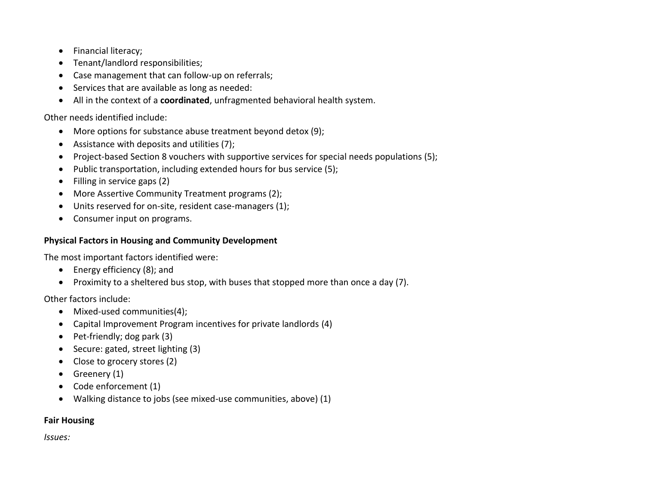- Financial literacy;
- Tenant/landlord responsibilities;
- Case management that can follow-up on referrals;
- Services that are available as long as needed:
- All in the context of a **coordinated**, unfragmented behavioral health system.

Other needs identified include:

- More options for substance abuse treatment beyond detox (9);
- Assistance with deposits and utilities (7);
- Project-based Section 8 vouchers with supportive services for special needs populations (5);
- Public transportation, including extended hours for bus service (5);
- Filling in service gaps (2)
- More Assertive Community Treatment programs (2);
- Units reserved for on-site, resident case-managers (1);
- Consumer input on programs.

# **Physical Factors in Housing and Community Development**

The most important factors identified were:

- Energy efficiency (8); and
- Proximity to a sheltered bus stop, with buses that stopped more than once a day (7).

Other factors include:

- Mixed-used communities(4);
- Capital Improvement Program incentives for private landlords (4)
- $\bullet$  Pet-friendly; dog park (3)
- Secure: gated, street lighting (3)
- Close to grocery stores (2)
- $\bullet$  Greenery (1)
- Code enforcement (1)
- Walking distance to jobs (see mixed-use communities, above) (1)

# **Fair Housing**

*Issues:*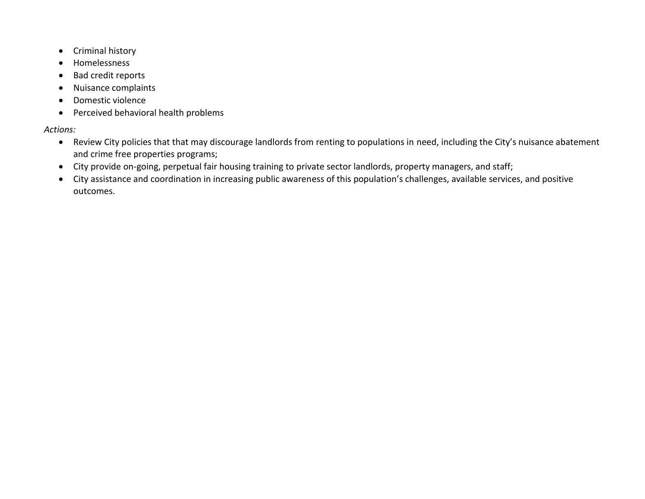- Criminal history
- Homelessness
- Bad credit reports
- Nuisance complaints
- Domestic violence
- Perceived behavioral health problems

# *Actions:*

- Review City policies that that may discourage landlords from renting to populations in need, including the City's nuisance abatement and crime free properties programs;
- City provide on-going, perpetual fair housing training to private sector landlords, property managers, and staff;
- City assistance and coordination in increasing public awareness of this population's challenges, available services, and positive outcomes.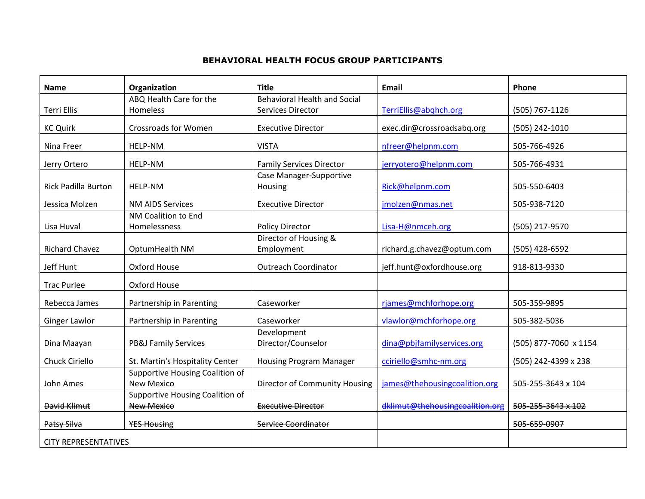#### **BEHAVIORAL HEALTH FOCUS GROUP PARTICIPANTS**

| <b>Name</b>                 | Organization                                                | <b>Title</b>                        | <b>Email</b>                    | Phone                 |
|-----------------------------|-------------------------------------------------------------|-------------------------------------|---------------------------------|-----------------------|
|                             | ABQ Health Care for the                                     | <b>Behavioral Health and Social</b> |                                 |                       |
| <b>Terri Ellis</b>          | Homeless                                                    | Services Director                   | TerriEllis@abqhch.org           | (505) 767-1126        |
| <b>KC Quirk</b>             | <b>Crossroads for Women</b>                                 | <b>Executive Director</b>           | exec.dir@crossroadsabq.org      | (505) 242-1010        |
| Nina Freer                  | <b>HELP-NM</b>                                              | <b>VISTA</b>                        | nfreer@helpnm.com               | 505-766-4926          |
| Jerry Ortero                | <b>HELP-NM</b>                                              | <b>Family Services Director</b>     | jerryotero@helpnm.com           | 505-766-4931          |
| <b>Rick Padilla Burton</b>  | HELP-NM                                                     | Case Manager-Supportive<br>Housing  | Rick@helpnm.com                 | 505-550-6403          |
| Jessica Molzen              | <b>NM AIDS Services</b>                                     | <b>Executive Director</b>           | jmolzen@nmas.net                | 505-938-7120          |
| Lisa Huval                  | NM Coalition to End<br>Homelessness                         | Policy Director                     | Lisa-H@nmceh.org                | (505) 217-9570        |
| <b>Richard Chavez</b>       | OptumHealth NM                                              | Director of Housing &<br>Employment | richard.g.chavez@optum.com      | (505) 428-6592        |
| Jeff Hunt                   | Oxford House                                                | <b>Outreach Coordinator</b>         | jeff.hunt@oxfordhouse.org       | 918-813-9330          |
| <b>Trac Purlee</b>          | Oxford House                                                |                                     |                                 |                       |
| Rebecca James               | Partnership in Parenting                                    | Caseworker                          | rjames@mchforhope.org           | 505-359-9895          |
| Ginger Lawlor               | Partnership in Parenting                                    | Caseworker                          | vlawlor@mchforhope.org          | 505-382-5036          |
| Dina Maayan                 | <b>PB&amp;J Family Services</b>                             | Development<br>Director/Counselor   | dina@pbjfamilyservices.org      | (505) 877-7060 x 1154 |
| Chuck Ciriello              | St. Martin's Hospitality Center                             | <b>Housing Program Manager</b>      | cciriello@smhc-nm.org           | (505) 242-4399 x 238  |
| John Ames                   | Supportive Housing Coalition of<br><b>New Mexico</b>        | Director of Community Housing       | james@thehousingcoalition.org   | 505-255-3643 x 104    |
| David Klimut                | <b>Supportive Housing Coalition of</b><br><b>New Mexico</b> | <b>Executive Director</b>           | dklimut@thehousingcoalition.org | 505-255-3643 x 102    |
| Patsy Silva                 | <b>YES Housing</b>                                          | Service Coordinator                 |                                 | 505-659-0907          |
| <b>CITY REPRESENTATIVES</b> |                                                             |                                     |                                 |                       |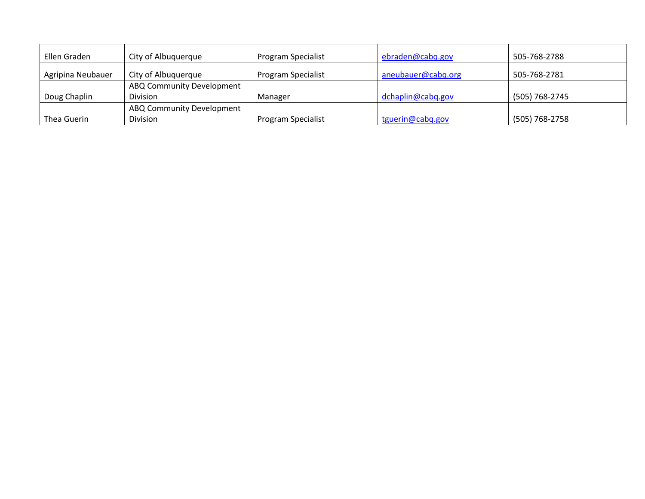| Ellen Graden      | City of Albuquerque       | <b>Program Specialist</b> | ebraden@cabq.gov   | 505-768-2788   |
|-------------------|---------------------------|---------------------------|--------------------|----------------|
| Agripina Neubauer | City of Albuquerque       | <b>Program Specialist</b> | aneubauer@cabq.org | 505-768-2781   |
|                   | ABQ Community Development |                           |                    |                |
| Doug Chaplin      | <b>Division</b>           | Manager                   | dchaplin@cabq.gov  | (505) 768-2745 |
|                   | ABQ Community Development |                           |                    |                |
| Thea Guerin       | Division                  | Program Specialist        | tguerin@cabq.gov   | (505) 768-2758 |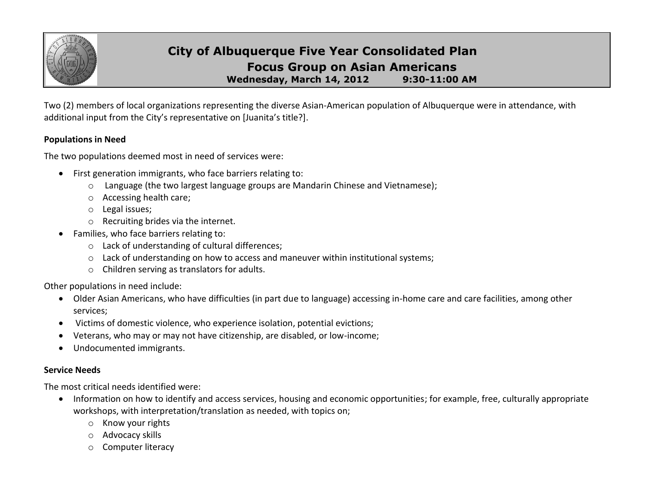

# **City of Albuquerque Five Year Consolidated Plan Focus Group on Asian Americans Wednesday, March 14, 2012 9:30-11:00 AM**

Two (2) members of local organizations representing the diverse Asian-American population of Albuquerque were in attendance, with additional input from the City's representative on [Juanita's title?].

#### **Populations in Need**

The two populations deemed most in need of services were:

- First generation immigrants, who face barriers relating to:
	- o Language (the two largest language groups are Mandarin Chinese and Vietnamese);
	- o Accessing health care;
	- o Legal issues;
	- o Recruiting brides via the internet.
- Families, who face barriers relating to:
	- o Lack of understanding of cultural differences;
	- o Lack of understanding on how to access and maneuver within institutional systems;
	- o Children serving as translators for adults.

Other populations in need include:

- Older Asian Americans, who have difficulties (in part due to language) accessing in-home care and care facilities, among other services;
- Victims of domestic violence, who experience isolation, potential evictions;
- Veterans, who may or may not have citizenship, are disabled, or low-income;
- Undocumented immigrants.

### **Service Needs**

The most critical needs identified were:

- Information on how to identify and access services, housing and economic opportunities; for example, free, culturally appropriate workshops, with interpretation/translation as needed, with topics on;
	- o Know your rights
	- o Advocacy skills
	- o Computer literacy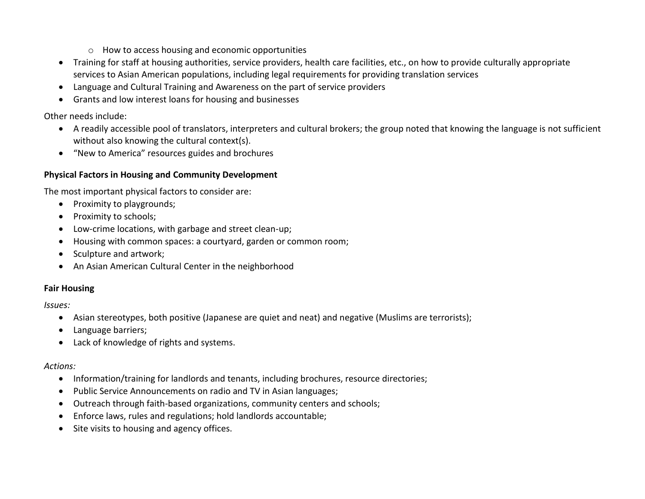- o How to access housing and economic opportunities
- Training for staff at housing authorities, service providers, health care facilities, etc., on how to provide culturally appropriate services to Asian American populations, including legal requirements for providing translation services
- Language and Cultural Training and Awareness on the part of service providers
- Grants and low interest loans for housing and businesses

Other needs include:

- A readily accessible pool of translators, interpreters and cultural brokers; the group noted that knowing the language is not sufficient without also knowing the cultural context(s).
- "New to America" resources guides and brochures

## **Physical Factors in Housing and Community Development**

The most important physical factors to consider are:

- Proximity to playgrounds;
- Proximity to schools;
- Low-crime locations, with garbage and street clean-up;
- Housing with common spaces: a courtyard, garden or common room;
- Sculpture and artwork;
- An Asian American Cultural Center in the neighborhood

# **Fair Housing**

*Issues:*

- Asian stereotypes, both positive (Japanese are quiet and neat) and negative (Muslims are terrorists);
- Language barriers;
- Lack of knowledge of rights and systems.

### *Actions:*

- Information/training for landlords and tenants, including brochures, resource directories;
- Public Service Announcements on radio and TV in Asian languages;
- Outreach through faith-based organizations, community centers and schools;
- Enforce laws, rules and regulations; hold landlords accountable;
- Site visits to housing and agency offices.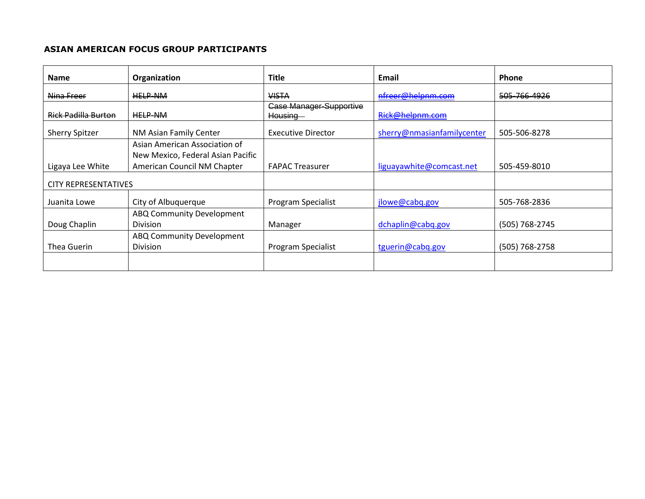#### **ASIAN AMERICAN FOCUS GROUP PARTICIPANTS**

| <b>Name</b>                 | Organization                                                     | <b>Title</b>                              | Email                      | <b>Phone</b>   |
|-----------------------------|------------------------------------------------------------------|-------------------------------------------|----------------------------|----------------|
| Nina Freer                  | <b>HELP-NM</b>                                                   | <b>VISTA</b>                              | nfreer@helpnm.com          | 505-766-4926   |
| <b>Rick Padilla Burton</b>  | <b>HELP-NM</b>                                                   | <b>Case Manager-Supportive</b><br>Housing | Rick@helpnm.com            |                |
| <b>Sherry Spitzer</b>       | NM Asian Family Center                                           | <b>Executive Director</b>                 | sherry@nmasianfamilycenter | 505-506-8278   |
|                             | Asian American Association of                                    |                                           |                            |                |
| Ligaya Lee White            | New Mexico, Federal Asian Pacific<br>American Council NM Chapter | <b>FAPAC Treasurer</b>                    | liguayawhite@comcast.net   | 505-459-8010   |
| <b>CITY REPRESENTATIVES</b> |                                                                  |                                           |                            |                |
| Juanita Lowe                | City of Albuquerque                                              | Program Specialist                        | jlowe@cabq.gov             | 505-768-2836   |
| Doug Chaplin                | ABQ Community Development<br><b>Division</b>                     | Manager                                   | dchaplin@cabq.gov          | (505) 768-2745 |
| Thea Guerin                 | ABQ Community Development<br><b>Division</b>                     | Program Specialist                        | tguerin@cabq.gov           | (505) 768-2758 |
|                             |                                                                  |                                           |                            |                |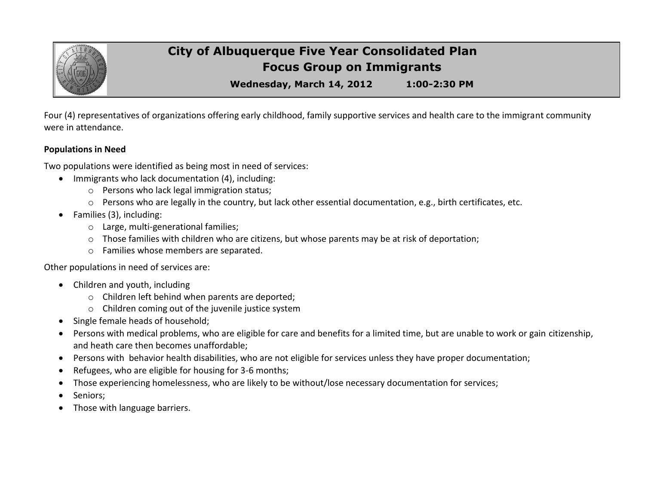

# **City of Albuquerque Five Year Consolidated Plan Focus Group on Immigrants**

**Wednesday, March 14, 2012 1:00-2:30 PM**

Four (4) representatives of organizations offering early childhood, family supportive services and health care to the immigrant community were in attendance.

#### **Populations in Need**

Two populations were identified as being most in need of services:

- Immigrants who lack documentation (4), including:
	- o Persons who lack legal immigration status;
	- $\circ$  Persons who are legally in the country, but lack other essential documentation, e.g., birth certificates, etc.
- Families (3), including:
	- o Large, multi-generational families;
	- $\circ$  Those families with children who are citizens, but whose parents may be at risk of deportation;
	- o Families whose members are separated.

Other populations in need of services are:

- Children and youth, including
	- o Children left behind when parents are deported;
	- o Children coming out of the juvenile justice system
- Single female heads of household;
- Persons with medical problems, who are eligible for care and benefits for a limited time, but are unable to work or gain citizenship, and heath care then becomes unaffordable;
- Persons with behavior health disabilities, who are not eligible for services unless they have proper documentation;
- Refugees, who are eligible for housing for 3-6 months;
- Those experiencing homelessness, who are likely to be without/lose necessary documentation for services;
- Seniors;
- Those with language barriers.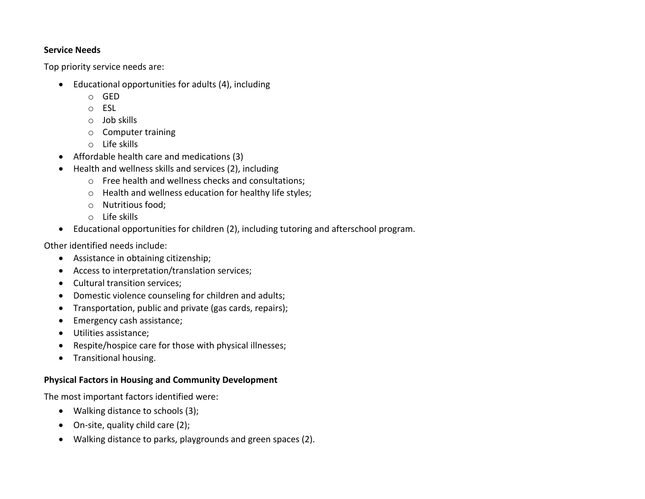#### **Service Needs**

Top priority service needs are:

- Educational opportunities for adults (4), including
	- o GED
	- o ESL
	- o Job skills
	- o Computer training
	- o Life skills
- Affordable health care and medications (3)
- Health and wellness skills and services (2), including
	- o Free health and wellness checks and consultations;
	- o Health and wellness education for healthy life styles;
	- o Nutritious food;
	- o Life skills
- Educational opportunities for children (2), including tutoring and afterschool program.

Other identified needs include:

- Assistance in obtaining citizenship;
- Access to interpretation/translation services;
- Cultural transition services;
- Domestic violence counseling for children and adults;
- Transportation, public and private (gas cards, repairs);
- Emergency cash assistance;
- Utilities assistance;
- Respite/hospice care for those with physical illnesses;
- **•** Transitional housing.

# **Physical Factors in Housing and Community Development**

The most important factors identified were:

- Walking distance to schools (3);
- On-site, quality child care (2);
- Walking distance to parks, playgrounds and green spaces (2).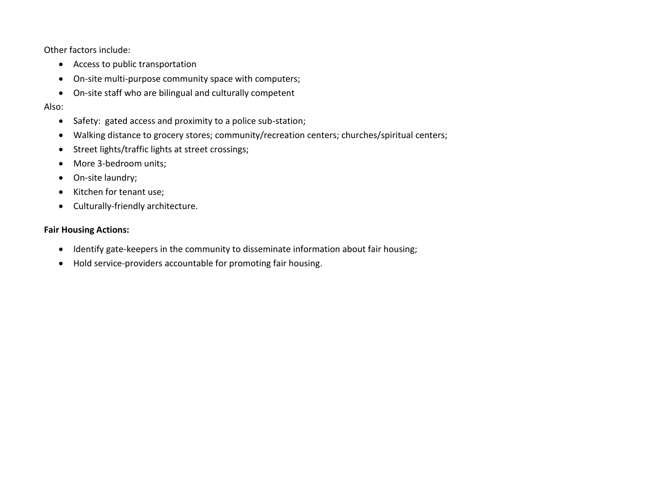Other factors include:

- Access to public transportation
- On-site multi-purpose community space with computers;
- On-site staff who are bilingual and culturally competent

Also:

- Safety: gated access and proximity to a police sub-station;
- Walking distance to grocery stores; community/recreation centers; churches/spiritual centers;
- Street lights/traffic lights at street crossings;
- More 3-bedroom units;
- On-site laundry;
- Kitchen for tenant use;
- Culturally-friendly architecture.

# **Fair Housing Actions:**

- Identify gate-keepers in the community to disseminate information about fair housing;
- Hold service-providers accountable for promoting fair housing.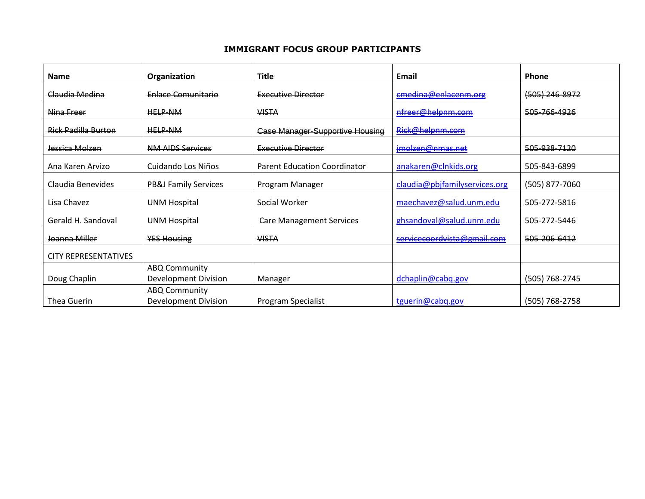#### **IMMIGRANT FOCUS GROUP PARTICIPANTS**

| <b>Name</b>                 | Organization                                 | <b>Title</b>                           | Email                         | <b>Phone</b>       |
|-----------------------------|----------------------------------------------|----------------------------------------|-------------------------------|--------------------|
| Claudia Medina              | Enlace Comunitario                           | <b>Executive Director</b>              | cmedina@enlacenm.org          | $(505)$ 246-8972   |
| Nina Freer                  | <b>HELP-NM</b>                               | <b>VISTA</b>                           | nfreer@helpnm.com             | 505-766-4926       |
| <b>Rick Padilla Burton</b>  | <b>HELP-NM</b>                               | <b>Case Manager-Supportive Housing</b> | Rick@helpnm.com               |                    |
| Jessica Molzen              | <b>NM AIDS Services</b>                      | <b>Executive Director</b>              | jmolzen@nmas.net              | 505-938-7120       |
| Ana Karen Arvizo            | Cuidando Los Niños                           | <b>Parent Education Coordinator</b>    | anakaren@clnkids.org          | 505-843-6899       |
| Claudia Benevides           | <b>PB&amp;J Family Services</b>              | Program Manager                        | claudia@pbjfamilyservices.org | (505) 877-7060     |
| Lisa Chavez                 | <b>UNM Hospital</b>                          | Social Worker                          | maechavez@salud.unm.edu       | 505-272-5816       |
| Gerald H. Sandoval          | <b>UNM Hospital</b>                          | <b>Care Management Services</b>        | ghsandoval@salud.unm.edu      | 505-272-5446       |
| Joanna Miller               | <b>YES Housing</b>                           | <b>VISTA</b>                           | servicecoordvista@gmail.com   | 505-206-6412       |
| <b>CITY REPRESENTATIVES</b> |                                              |                                        |                               |                    |
| Doug Chaplin                | <b>ABQ Community</b><br>Development Division | Manager                                | dchaplin@cabq.gov             | (505) 768-2745     |
| <b>Thea Guerin</b>          | <b>ABQ Community</b><br>Development Division | Program Specialist                     | tguerin@cabq.gov              | $(505) 768 - 2758$ |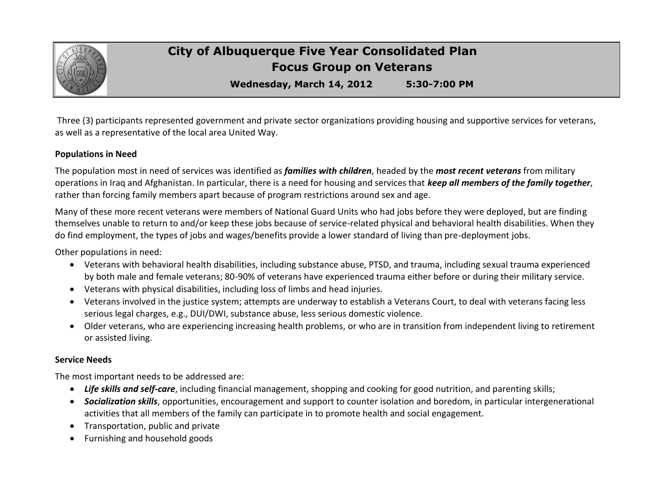

# **City of Albuquerque Five Year Consolidated Plan Focus Group on Veterans**

**Wednesday, March 14, 2012 5:30-7:00 PM**

Three (3) participants represented government and private sector organizations providing housing and supportive services for veterans, as well as a representative of the local area United Way.

#### **Populations in Need**

The population most in need of services was identified as *families with children*, headed by the *most recent veterans* from military operations in Iraq and Afghanistan. In particular, there is a need for housing and services that *keep all members of the family together*, rather than forcing family members apart because of program restrictions around sex and age.

Many of these more recent veterans were members of National Guard Units who had jobs before they were deployed, but are finding themselves unable to return to and/or keep these jobs because of service-related physical and behavioral health disabilities. When they do find employment, the types of jobs and wages/benefits provide a lower standard of living than pre-deployment jobs.

Other populations in need:

- Veterans with behavioral health disabilities, including substance abuse, PTSD, and trauma, including sexual trauma experienced by both male and female veterans; 80-90% of veterans have experienced trauma either before or during their military service.
- Veterans with physical disabilities, including loss of limbs and head injuries.
- Veterans involved in the justice system; attempts are underway to establish a Veterans Court, to deal with veterans facing less serious legal charges, e.g., DUI/DWI, substance abuse, less serious domestic violence.
- Older veterans, who are experiencing increasing health problems, or who are in transition from independent living to retirement or assisted living.

#### **Service Needs**

The most important needs to be addressed are:

- *Life skills and self-care*, including financial management, shopping and cooking for good nutrition, and parenting skills;
- *Socialization skills*, opportunities, encouragement and support to counter isolation and boredom, in particular intergenerational activities that all members of the family can participate in to promote health and social engagement.
- Transportation, public and private
- Furnishing and household goods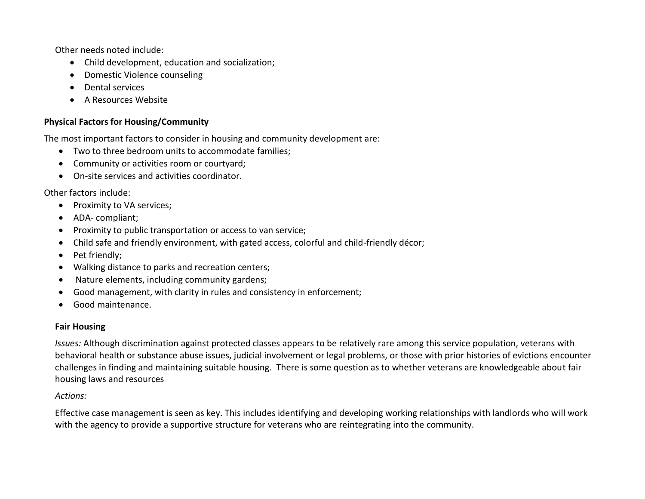Other needs noted include:

- Child development, education and socialization;
- Domestic Violence counseling
- **•** Dental services
- A Resources Website

# **Physical Factors for Housing/Community**

The most important factors to consider in housing and community development are:

- Two to three bedroom units to accommodate families;
- Community or activities room or courtyard;
- On-site services and activities coordinator.

Other factors include:

- Proximity to VA services;
- ADA- compliant;
- Proximity to public transportation or access to van service;
- Child safe and friendly environment, with gated access, colorful and child-friendly décor;
- Pet friendly:
- Walking distance to parks and recreation centers;
- Nature elements, including community gardens;
- Good management, with clarity in rules and consistency in enforcement;
- Good maintenance.

# **Fair Housing**

*Issues:* Although discrimination against protected classes appears to be relatively rare among this service population, veterans with behavioral health or substance abuse issues, judicial involvement or legal problems, or those with prior histories of evictions encounter challenges in finding and maintaining suitable housing. There is some question as to whether veterans are knowledgeable about fair housing laws and resources

# *Actions:*

Effective case management is seen as key. This includes identifying and developing working relationships with landlords who will work with the agency to provide a supportive structure for veterans who are reintegrating into the community.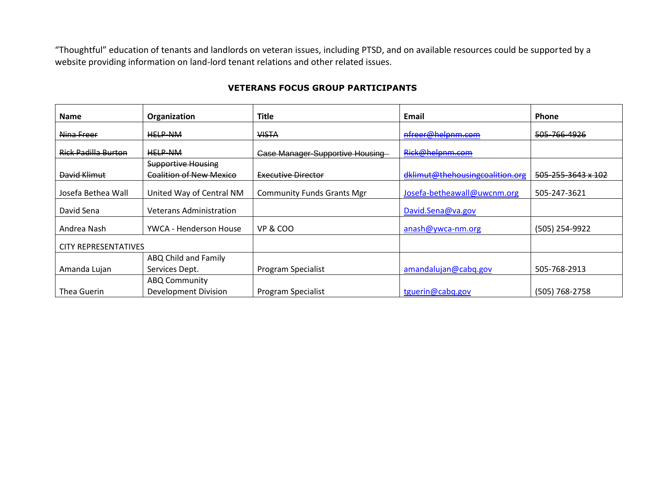"Thoughtful" education of tenants and landlords on veteran issues, including PTSD, and on available resources could be supported by a website providing information on land-lord tenant relations and other related issues.

### **VETERANS FOCUS GROUP PARTICIPANTS**

| <b>Name</b>                 | Organization                   | <b>Title</b>                      | Email                           | Phone              |
|-----------------------------|--------------------------------|-----------------------------------|---------------------------------|--------------------|
| Nina Freer                  | <b>HELP-NM</b>                 | <b>VISTA</b>                      | nfreer@helpnm.com               | 505-766-4926       |
| <b>Rick Padilla Burton</b>  | <b>HELP-NM</b>                 | Case Manager-Supportive Housing   | Rick@helpnm.com                 |                    |
|                             | <b>Supportive Housing</b>      |                                   |                                 |                    |
| David Klimut                | <b>Coalition of New Mexico</b> | Executive Director                | dklimut@thehousingcoalition.org | 505-255-3643 x 102 |
| Josefa Bethea Wall          | United Way of Central NM       | <b>Community Funds Grants Mgr</b> | Josefa-betheawall@uwcnm.org     | 505-247-3621       |
| David Sena                  | <b>Veterans Administration</b> |                                   | David.Sena@va.gov               |                    |
| Andrea Nash                 | YWCA - Henderson House         | VP & COO                          | $anash@ywca-nm.org$             | (505) 254-9922     |
| <b>CITY REPRESENTATIVES</b> |                                |                                   |                                 |                    |
|                             | ABQ Child and Family           |                                   |                                 |                    |
| Amanda Lujan                | Services Dept.                 | Program Specialist                | amandalujan@cabq.gov            | 505-768-2913       |
|                             | <b>ABQ Community</b>           |                                   |                                 |                    |
| Thea Guerin                 | <b>Development Division</b>    | <b>Program Specialist</b>         | tguerin@cabq.gov                | (505) 768-2758     |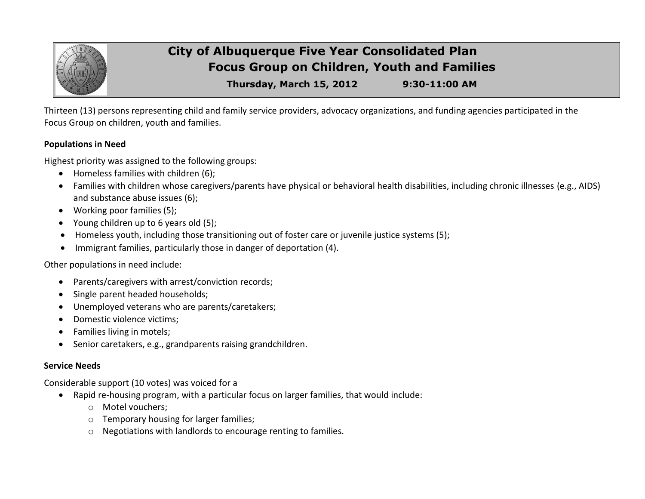

# **City of Albuquerque Five Year Consolidated Plan Focus Group on Children, Youth and Families**

**Thursday, March 15, 2012 9:30-11:00 AM**

Thirteen (13) persons representing child and family service providers, advocacy organizations, and funding agencies participated in the Focus Group on children, youth and families.

### **Populations in Need**

Highest priority was assigned to the following groups:

- Homeless families with children (6);
- Families with children whose caregivers/parents have physical or behavioral health disabilities, including chronic illnesses (e.g., AIDS) and substance abuse issues (6);
- Working poor families (5);
- Young children up to 6 years old (5);
- Homeless youth, including those transitioning out of foster care or juvenile justice systems (5);
- Immigrant families, particularly those in danger of deportation (4).

Other populations in need include:

- Parents/caregivers with arrest/conviction records;
- Single parent headed households;
- Unemployed veterans who are parents/caretakers;
- Domestic violence victims;
- Families living in motels;
- Senior caretakers, e.g., grandparents raising grandchildren.

# **Service Needs**

Considerable support (10 votes) was voiced for a

- Rapid re-housing program, with a particular focus on larger families, that would include:
	- o Motel vouchers;
	- o Temporary housing for larger families;
	- o Negotiations with landlords to encourage renting to families.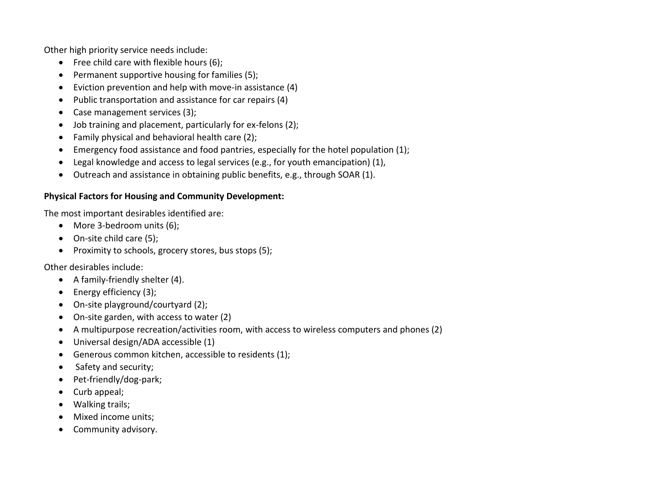Other high priority service needs include:

- $\bullet$  Free child care with flexible hours (6);
- Permanent supportive housing for families (5);
- Eviction prevention and help with move-in assistance (4)
- Public transportation and assistance for car repairs (4)
- Case management services (3);
- Job training and placement, particularly for ex-felons (2);
- Family physical and behavioral health care (2);
- Emergency food assistance and food pantries, especially for the hotel population (1);
- Legal knowledge and access to legal services (e.g., for youth emancipation) (1),
- Outreach and assistance in obtaining public benefits, e.g., through SOAR (1).

# **Physical Factors for Housing and Community Development:**

The most important desirables identified are:

- More 3-bedroom units (6);
- On-site child care (5);
- Proximity to schools, grocery stores, bus stops (5);

Other desirables include:

- A family-friendly shelter (4).
- $\bullet$  Energy efficiency (3);
- On-site playground/courtyard (2);
- On-site garden, with access to water (2)
- A multipurpose recreation/activities room, with access to wireless computers and phones (2)
- Universal design/ADA accessible (1)
- Generous common kitchen, accessible to residents (1);
- Safety and security;
- Pet-friendly/dog-park;
- Curb appeal;
- Walking trails;
- Mixed income units;
- Community advisory.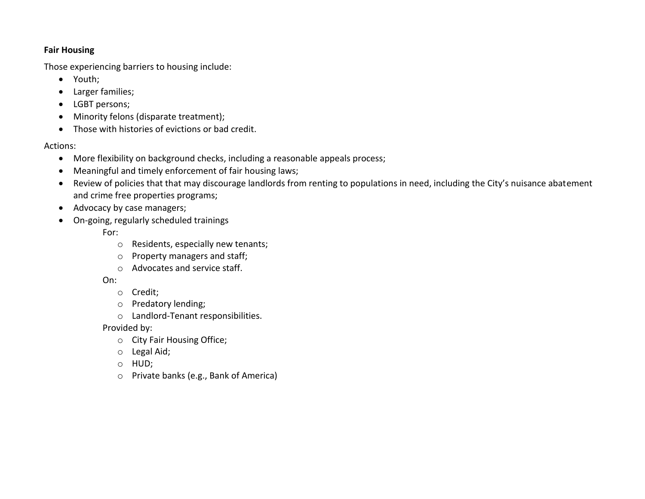#### **Fair Housing**

Those experiencing barriers to housing include:

- Youth;
- Larger families;
- LGBT persons;
- Minority felons (disparate treatment);
- Those with histories of evictions or bad credit.

Actions:

- More flexibility on background checks, including a reasonable appeals process;
- Meaningful and timely enforcement of fair housing laws;
- Review of policies that that may discourage landlords from renting to populations in need, including the City's nuisance abatement and crime free properties programs;
- Advocacy by case managers;
- On-going, regularly scheduled trainings

For:

- o Residents, especially new tenants;
- o Property managers and staff;
- o Advocates and service staff.

On:

- o Credit;
- o Predatory lending;
- o Landlord-Tenant responsibilities.

Provided by:

- o City Fair Housing Office;
- o Legal Aid;
- o HUD;
- o Private banks (e.g., Bank of America)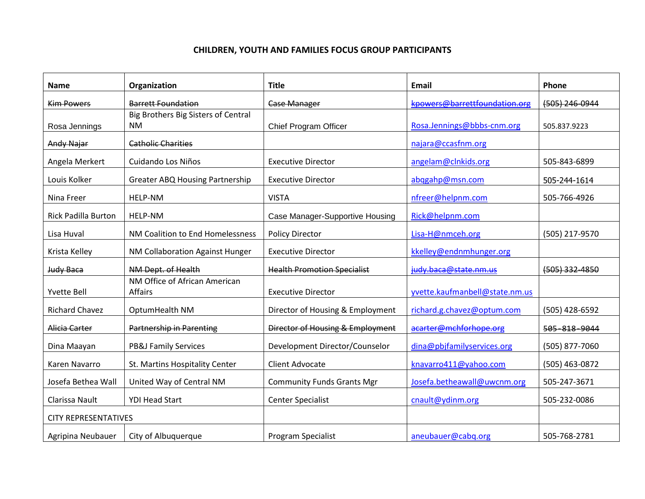### **CHILDREN, YOUTH AND FAMILIES FOCUS GROUP PARTICIPANTS**

| <b>Name</b>                 | Organization                                     | <b>Title</b>                       | <b>Email</b>                   | Phone            |
|-----------------------------|--------------------------------------------------|------------------------------------|--------------------------------|------------------|
| <b>Kim Powers</b>           | <b>Barrett Foundation</b>                        | <b>Case Manager</b>                | kpowers@barrettfoundation.org  | $(505)$ 246-0944 |
| Rosa Jennings               | Big Brothers Big Sisters of Central<br><b>NM</b> | Chief Program Officer              | Rosa.Jennings@bbbs-cnm.org     | 505.837.9223     |
| <b>Andy Najar</b>           | <b>Catholic Charities</b>                        |                                    | najara@ccasfnm.org             |                  |
| Angela Merkert              | Cuidando Los Niños                               | <b>Executive Director</b>          | angelam@clnkids.org            | 505-843-6899     |
| Louis Kolker                | <b>Greater ABQ Housing Partnership</b>           | <b>Executive Director</b>          | abggahp@msn.com                | 505-244-1614     |
| Nina Freer                  | HELP-NM                                          | <b>VISTA</b>                       | nfreer@helpnm.com              | 505-766-4926     |
| <b>Rick Padilla Burton</b>  | HELP-NM                                          | Case Manager-Supportive Housing    | Rick@helpnm.com                |                  |
| Lisa Huval                  | NM Coalition to End Homelessness                 | <b>Policy Director</b>             | Lisa-H@nmceh.org               | (505) 217-9570   |
| Krista Kelley               | NM Collaboration Against Hunger                  | <b>Executive Director</b>          | kkelley@endnmhunger.org        |                  |
| Judy Baca                   | NM Dept. of Health                               | <b>Health Promotion Specialist</b> | judy.baca@state.nm.us          | $(505)$ 332-4850 |
| <b>Yvette Bell</b>          | NM Office of African American<br><b>Affairs</b>  | <b>Executive Director</b>          | yvette.kaufmanbell@state.nm.us |                  |
| <b>Richard Chavez</b>       | OptumHealth NM                                   | Director of Housing & Employment   | richard.g.chavez@optum.com     | (505) 428-6592   |
| Alicia Carter               | Partnership in Parenting                         | Director of Housing & Employment   | acarter@mchforhope.org         | 505-818-9044     |
| Dina Maayan                 | <b>PB&amp;J Family Services</b>                  | Development Director/Counselor     | dina@pbjfamilyservices.org     | (505) 877-7060   |
| Karen Navarro               | St. Martins Hospitality Center                   | <b>Client Advocate</b>             | knavarro411@yahoo.com          | (505) 463-0872   |
| Josefa Bethea Wall          | United Way of Central NM                         | <b>Community Funds Grants Mgr</b>  | Josefa.betheawall@uwcnm.org    | 505-247-3671     |
| Clarissa Nault              | <b>YDI Head Start</b>                            | <b>Center Specialist</b>           | cnault@ydinm.org               | 505-232-0086     |
| <b>CITY REPRESENTATIVES</b> |                                                  |                                    |                                |                  |
| Agripina Neubauer           | City of Albuquerque                              | Program Specialist                 | aneubauer@cabq.org             | 505-768-2781     |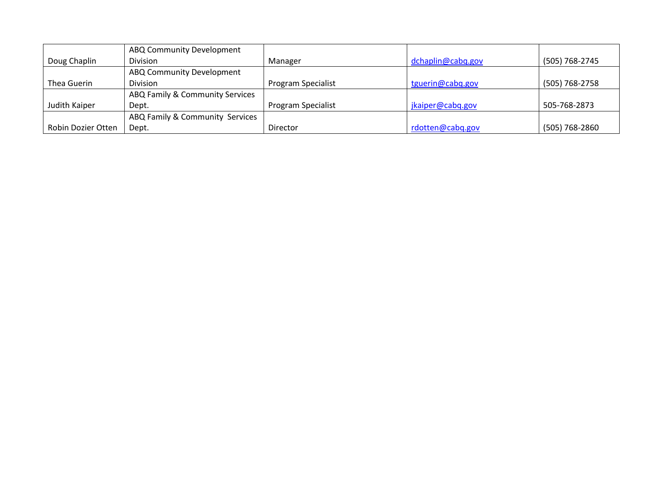|                    | ABQ Community Development       |                    |                   |                |
|--------------------|---------------------------------|--------------------|-------------------|----------------|
| Doug Chaplin       | Division                        | Manager            | dchaplin@cabq.gov | (505) 768-2745 |
|                    | ABQ Community Development       |                    |                   |                |
| Thea Guerin        | Division                        | Program Specialist | tguerin@cabq.gov  | (505) 768-2758 |
|                    | ABQ Family & Community Services |                    |                   |                |
| Judith Kaiper      | Dept.                           | Program Specialist | jkaiper@cabq.gov  | 505-768-2873   |
|                    | ABQ Family & Community Services |                    |                   |                |
| Robin Dozier Otten | Dept.                           | Director           | rdotten@cabq.gov  | (505) 768-2860 |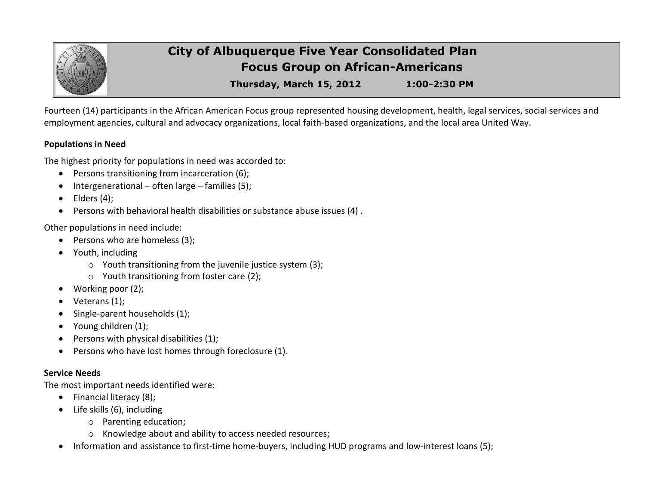

# **City of Albuquerque Five Year Consolidated Plan Focus Group on African-Americans**

**Thursday, March 15, 2012 1:00-2:30 PM**

Fourteen (14) participants in the African American Focus group represented housing development, health, legal services, social services and employment agencies, cultural and advocacy organizations, local faith-based organizations, and the local area United Way.

## **Populations in Need**

The highest priority for populations in need was accorded to:

- Persons transitioning from incarceration (6);
- $\bullet$  Intergenerational often large families (5);
- $\bullet$  Elders (4);
- Persons with behavioral health disabilities or substance abuse issues (4) .

Other populations in need include:

- Persons who are homeless (3);
- Youth, including
	- o Youth transitioning from the juvenile justice system (3);
	- o Youth transitioning from foster care (2);
- Working poor (2);
- $\bullet$  Veterans (1);
- Single-parent households (1);
- Young children (1);
- **•** Persons with physical disabilities  $(1)$ ;
- Persons who have lost homes through foreclosure (1).

# **Service Needs**

The most important needs identified were:

- Financial literacy (8);
- Life skills (6), including
	- o Parenting education;
	- o Knowledge about and ability to access needed resources;
- Information and assistance to first-time home-buyers, including HUD programs and low-interest loans (5);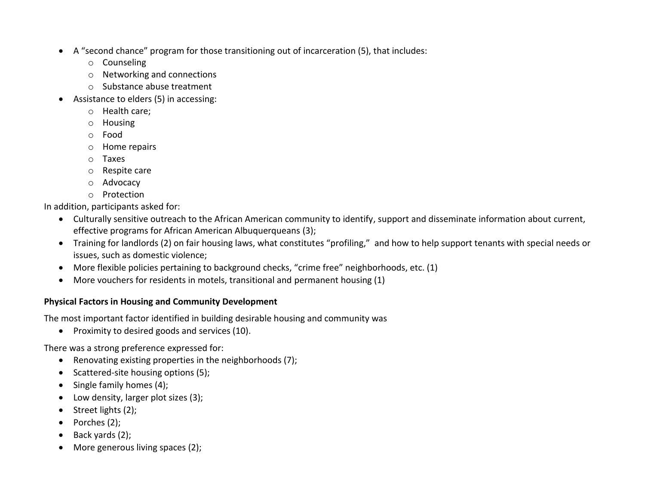- A "second chance" program for those transitioning out of incarceration (5), that includes:
	- o Counseling
	- o Networking and connections
	- o Substance abuse treatment
- Assistance to elders (5) in accessing:
	- o Health care;
	- o Housing
	- o Food
	- o Home repairs
	- o Taxes
	- o Respite care
	- o Advocacy
	- o Protection

In addition, participants asked for:

- Culturally sensitive outreach to the African American community to identify, support and disseminate information about current, effective programs for African American Albuquerqueans (3);
- Training for landlords (2) on fair housing laws, what constitutes "profiling," and how to help support tenants with special needs or issues, such as domestic violence;
- More flexible policies pertaining to background checks, "crime free" neighborhoods, etc. (1)
- More vouchers for residents in motels, transitional and permanent housing (1)

# **Physical Factors in Housing and Community Development**

The most important factor identified in building desirable housing and community was

• Proximity to desired goods and services (10).

There was a strong preference expressed for:

- Renovating existing properties in the neighborhoods (7);
- Scattered-site housing options (5);
- $\bullet$  Single family homes (4);
- Low density, larger plot sizes (3);
- $\bullet$  Street lights (2);
- $\bullet$  Porches (2);
- $\bullet$  Back yards (2);
- More generous living spaces (2);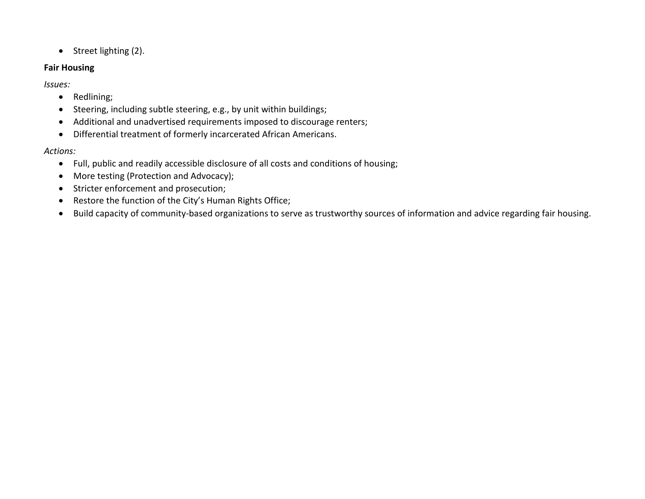• Street lighting (2).

#### **Fair Housing**

*Issues:*

- Redlining;
- Steering, including subtle steering, e.g., by unit within buildings;
- Additional and unadvertised requirements imposed to discourage renters;
- Differential treatment of formerly incarcerated African Americans.

# *Actions:*

- Full, public and readily accessible disclosure of all costs and conditions of housing;
- More testing (Protection and Advocacy);
- Stricter enforcement and prosecution;
- Restore the function of the City's Human Rights Office;
- Build capacity of community-based organizations to serve as trustworthy sources of information and advice regarding fair housing.